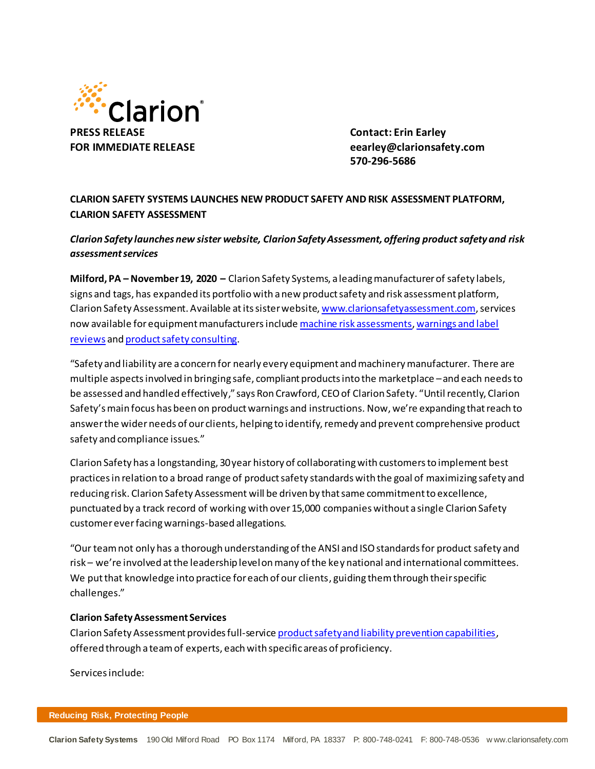

**570-296-5686**

## **CLARION SAFETY SYSTEMS LAUNCHES NEW PRODUCT SAFETY AND RISK ASSESSMENT PLATFORM, CLARION SAFETY ASSESSMENT**

*Clarion Safety launches new sister website, Clarion Safety Assessment, offering product safety and risk assessment services*

**Milford, PA – November 19, 2020 –** Clarion Safety Systems, a leading manufacturer of safety labels, signs and tags, has expanded its portfolio with a new product safety and risk assessment platform, Clarion Safety Assessment. Available at its sister website, [www.clarionsafetyassessment.com](http://www.clarionsafetyassessment.com/), services now available for equipment manufacturers includ[e machine risk assessments](http://www.clarionsafetyassessment.com/product-risk-assessment/)[, warnings and label](http://www.clarionsafetyassessment.com/warnings-review/)  [reviews](http://www.clarionsafetyassessment.com/warnings-review/) an[d product safety](http://www.clarionsafetyassessment.com/consulting/) consulting.

"Safety and liability are a concern for nearly every equipment and machinery manufacturer. There are multiple aspectsinvolved in bringing safe, compliant products into the marketplace –and each needs to be assessed and handled effectively," says Ron Crawford, CEO of Clarion Safety. "Until recently, Clarion Safety's main focus has been on product warnings and instructions. Now, we're expanding that reach to answer the wider needs of our clients, helping to identify, remedy and prevent comprehensive product safety and compliance issues."

Clarion Safety has a longstanding, 30 year history of collaborating with customers to implement best practices in relation to a broad range of product safety standards with the goal of maximizing safety and reducing risk. Clarion Safety Assessment will be driven by that same commitment to excellence, punctuated by a track record of working with over 15,000 companies without a single Clarion Safety customer ever facing warnings-based allegations.

"Our team not only has a thorough understanding of the ANSI and ISO standards for product safety and risk – we're involved at the leadership level on many of the key national and international committees. We put that knowledge into practice for each of our clients, guiding them through their specific challenges."

## **Clarion Safety Assessment Services**

Clarion Safety Assessment provides full-servic[e product safety and liability prevention capabilities](http://www.clarionsafetyassessment.com/risk-assessment-services/), offered through a team of experts, each with specific areas of proficiency.

Services include: